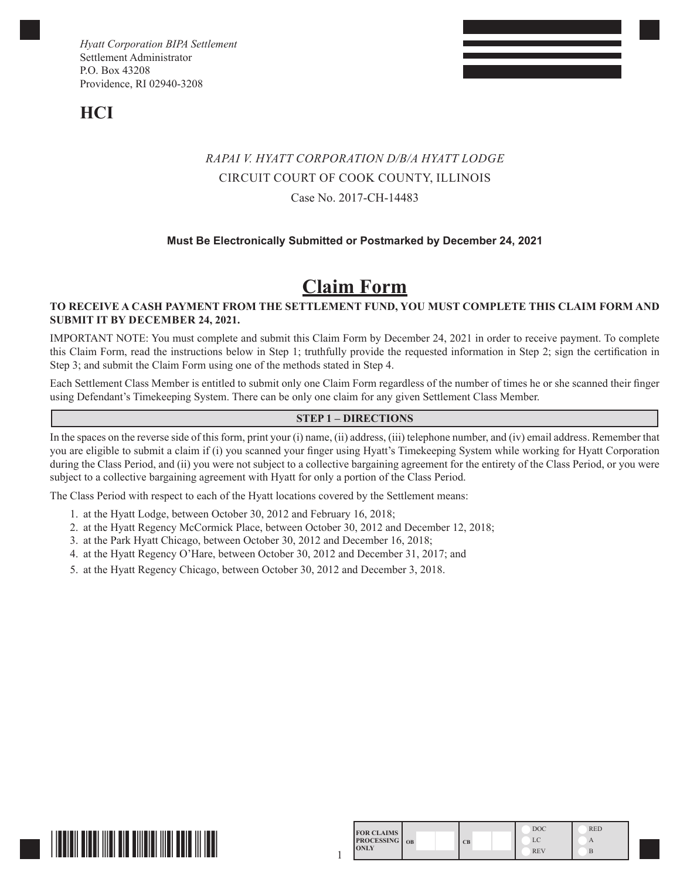**HCI**

# *RAPAI V. HYATT CORPORATION D/B/A HYATT LODGE* CIRCUIT COURT OF COOK COUNTY, ILLINOIS Case No. 2017-CH-14483

## **Must Be Electronically Submitted or Postmarked by December 24, 2021**

# **Claim Form**

### **TO RECEIVE A CASH PAYMENT FROM THE SETTLEMENT FUND, YOU MUST COMPLETE THIS CLAIM FORM AND SUBMIT IT BY DECEMBER 24, 2021.**

IMPORTANT NOTE: You must complete and submit this Claim Form by December 24, 2021 in order to receive payment. To complete this Claim Form, read the instructions below in Step 1; truthfully provide the requested information in Step 2; sign the certification in Step 3; and submit the Claim Form using one of the methods stated in Step 4.

Each Settlement Class Member is entitled to submit only one Claim Form regardless of the number of times he or she scanned their finger using Defendant's Timekeeping System. There can be only one claim for any given Settlement Class Member.

#### **STEP 1 – DIRECTIONS**

In the spaces on the reverse side of this form, print your (i) name, (ii) address, (iii) telephone number, and (iv) email address. Remember that you are eligible to submit a claim if (i) you scanned your finger using Hyatt's Timekeeping System while working for Hyatt Corporation during the Class Period, and (ii) you were not subject to a collective bargaining agreement for the entirety of the Class Period, or you were subject to a collective bargaining agreement with Hyatt for only a portion of the Class Period.

The Class Period with respect to each of the Hyatt locations covered by the Settlement means:

- 1. at the Hyatt Lodge, between October 30, 2012 and February 16, 2018;
- 2. at the Hyatt Regency McCormick Place, between October 30, 2012 and December 12, 2018;
- 3. at the Park Hyatt Chicago, between October 30, 2012 and December 16, 2018;
- 4. at the Hyatt Regency O'Hare, between October 30, 2012 and December 31, 2017; and
- 5. at the Hyatt Regency Chicago, between October 30, 2012 and December 3, 2018.



| <b>FOR CLAIMS</b><br><b>PROCESSING</b>   OB<br><b>ONLY</b> |  | CB | <b>DOC</b> | <b>RED</b> |  |
|------------------------------------------------------------|--|----|------------|------------|--|
|                                                            |  |    | LC         |            |  |
|                                                            |  |    | <b>REV</b> |            |  |